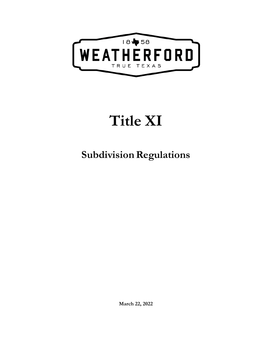

# **Title XI**

# **SubdivisionRegulations**

**March 22, 2022**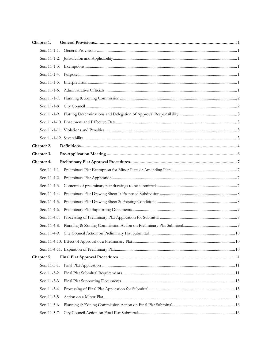| Chapter 1.   |  |
|--------------|--|
|              |  |
|              |  |
|              |  |
|              |  |
|              |  |
|              |  |
|              |  |
|              |  |
|              |  |
|              |  |
|              |  |
|              |  |
| Chapter 2.   |  |
| Chapter 3.   |  |
| Chapter 4.   |  |
|              |  |
|              |  |
|              |  |
|              |  |
|              |  |
|              |  |
|              |  |
|              |  |
|              |  |
|              |  |
|              |  |
| Chapter 5.   |  |
| Sec. 11-5-1. |  |
| Sec. 11-5-2. |  |
| Sec. 11-5-3. |  |
| Sec. 11-5-4. |  |
| Sec. 11-5-5. |  |
| Sec. 11-5-6. |  |
| Sec. 11-5-7. |  |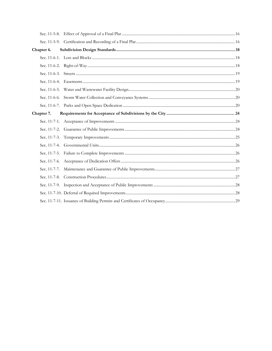| Chapter 6. |  |
|------------|--|
|            |  |
|            |  |
|            |  |
|            |  |
|            |  |
|            |  |
|            |  |
| Chapter 7. |  |
|            |  |
|            |  |
|            |  |
|            |  |
|            |  |
|            |  |
|            |  |
|            |  |
|            |  |
|            |  |
|            |  |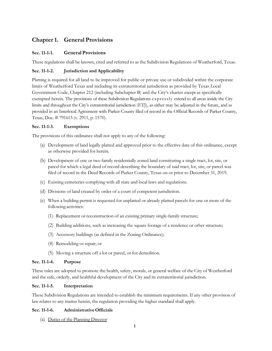# **Chapter 1. General Provisions**

# **Sec. 11-1-1. General Provisions**

These regulations shall be known, cited and referred to as the Subdivision Regulations of Weatherford, Texas.

# <span id="page-3-0"></span>**Sec. 11-1-2. Jurisdiction and Applicability**

Platting is required for all land to be improved for public or private use or subdivided within the corporate limits of Weatherford Texas and including its extraterritorial jurisdiction as provided by Texas Local Government Code, Chapter 212 (including Subchapter B) and the City's charter except as specifically exempted herein. The provisions of these Subdivision Regulations expressly extend to all areas inside the City limits and throughout the City's extraterritorial jurisdiction (ETJ), as either may be adjusted in the future, and as provided in an Interlocal Agreement with Parker County filed of record in the Official Records of Parker County, Texas, Doc. # 791613 (v. 2911, p. 1570).

# <span id="page-3-1"></span>**Sec. 11-1-3. Exemptions**

The provisions of this ordinance shall not apply to any of the following:

- (a) Development of land legally platted and approved prior to the effective date of this ordinance, except as otherwise provided for herein.
- (b) Development of one or two family residentially zoned land constituting a single tract, lot, site, or parcel for which a legal deed of record describing the boundary of said tract, lot, site, or parcel was filed of record in the Deed Records of Parker County, Texas on or prior to December 31, 2019.
- (c) Existing cemeteries complying with all state and local laws and regulations.
- (d) Divisions of land created by order of a court of competent jurisdiction.
- (e) When a building permit is requested for unplatted or already platted parcels for one or more of the following activities:
	- (1) Replacement or reconstruction of an existing primary single-family structure;
	- (2) Building additions, such as increasing the square footage of a residence or other structure;
	- (3) Accessory buildings (as defined in the Zoning Ordinance);
	- (4) Remodeling or repair; or
	- (5) Moving a structure off a lot or parcel, or for demolition.

#### <span id="page-3-2"></span>**Sec. 11-1-4. Purpose**

These rules are adopted to promote the health, safety, morals, or general welfare of the City of Weatherford and the safe, orderly, and healthful development of the City and its extraterritorial jurisdiction.

#### <span id="page-3-3"></span>**Sec. 11-1-5. Interpretation**

These Subdivision Regulations are intended to establish the minimum requirements. If any other provision of law relates to any matter herein, the regulation providing the higher standard shall apply.

#### <span id="page-3-4"></span>**Sec. 11-1-6. AdministrativeOfficials**

(a) Duties of the Planning Director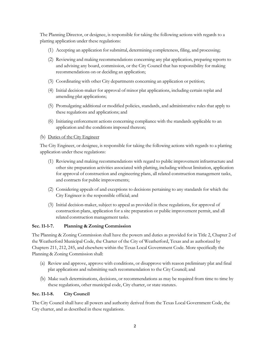The Planning Director, or designee, is responsible for taking the following actions with regards to a platting application under these regulations:

- (1) Accepting an application for submittal, determining completeness, filing, and processing;
- (2) Reviewing and making recommendations concerning any plat application, preparing reports to and advising any board, commission, or the City Council that has responsibility for making recommendations on or deciding an application;
- (3) Coordinating with other City departments concerning an application or petition;
- (4) Initial decision-maker for approval of minor plat applications, including certain replat and amending plat applications;
- (5) Promulgating additional or modified policies, standards, and administrative rules that apply to these regulations and applications; and
- (6) Initiating enforcement actions concerning compliance with the standards applicable to an application and the conditions imposed thereon;
- (b) Duties of the City Engineer

The City Engineer, or designee, is responsible for taking the following actions with regards to a platting application under these regulations:

- (1) Reviewing and making recommendations with regard to public improvement infrastructure and other site preparation activities associated with platting, including without limitation, application for approval of construction and engineering plans, all related construction management tasks, and contracts for public improvements;
- (2) Considering appeals of and exceptions to decisions pertaining to any standards for which the City Engineer is the responsible official; and
- (3) Initial decision-maker, subject to appeal as provided in these regulations, for approval of construction plans, application for a site preparation or public improvement permit, and all related construction management tasks.

#### <span id="page-4-0"></span>**Sec. 11-1-7. Planning & Zoning Commission**

The Planning & Zoning Commission shall have the powers and duties as provided for in Title 2, Chapter 2 of the Weatherford Municipal Code, the Charter of the City of Weatherford, Texas and as authorized by Chapters 211, 212, 245, and elsewhere within the Texas Local Government Code. More specifically the Planning & Zoning Commission shall:

- (a) Review and approve, approve with conditions, or disapprove with reason preliminary plat and final plat applications and submitting such recommendation to the City Council; and
- (b) Make such determinations, decisions, or recommendations as may be required from time to time by these regulations, other municipal code, City charter, or state statutes.

# <span id="page-4-1"></span>**Sec. 11-1-8. City Council**

The City Council shall have all powers and authority derived from the Texas Local Government Code, the City charter, and as described in these regulations.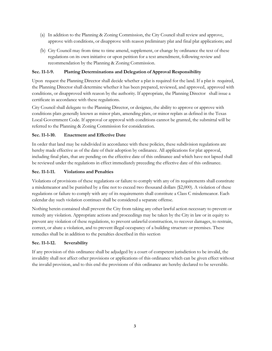- (a) In addition to the Planning & Zoning Commission, the City Council shall review and approve, approve with conditions, or disapprove with reason preliminary plat and final plat applications; and
- (b) City Council may from time to time amend, supplement, or change by ordinance the text of these regulations on its own initiative or upon petition for a text amendment, following review and recommendation by the Planning & Zoning Commission.

# <span id="page-5-0"></span>**Sec. 11-1-9. Platting Determinations and Delegation of Approval Responsibility**

Upon request the Planning Director shall decide whether a plat is required for the land. If a plat is required, the Planning Director shall determine whether it has been prepared, reviewed, and approved, approved with conditions, or disapproved with reason by the authority. If appropriate, the Planning Director shall issue a certificate in accordance with these regulations.

City Council shall delegate to the Planning Director, or designee, the ability to approve or approve with conditions plats generally known as minor plats, amending plats, or minor replats as defined in the Texas Local Government Code. If approval or approval with conditions cannot be granted, the submittal will be referred to the Planning & Zoning Commission for consideration.

# <span id="page-5-1"></span>**Sec.11-1-10. Enactment and Effective Date**

In order that land may be subdivided in accordance with these policies, these subdivision regulations are hereby made effective as of the date of their adoption by ordinance. All applications for plat approval, including final plats, that are pending on the effective date of this ordinance and which have not lapsed shall be reviewed under the regulations in effect immediately preceding the effective date of this ordinance.

# <span id="page-5-2"></span>**Sec.11-1-11. Violations and Penalties**

Violations of provisions of these regulations or failure to comply with any of its requirements shall constitute a misdemeanor and be punished by a fine not to exceed two thousand dollars (\$2,000). A violation of these regulations or failure to comply with any of its requirements shall constitute a Class C misdemeanor. Each calendar day such violation continues shall be considered a separate offense.

Nothing herein contained shall prevent the City from taking any other lawful action necessary to prevent or remedy any violation. Appropriate actions and proceedings may be taken by the City in law or in equity to prevent any violation of these regulations, to prevent unlawful construction, to recover damages, to restrain, correct, or abate a violation, and to prevent illegal occupancy of a building structure or premises. These remedies shall be in addition to the penalties described in this section

# <span id="page-5-3"></span>**Sec.11-1-12. Severability**

If any provision of this ordinance shall be adjudged by a court of competent jurisdiction to be invalid, the invalidity shall not affect other provisions or applications of this ordinance which can be given effect without the invalid provision, and to this end the provisions of this ordinance are hereby declared to be severable.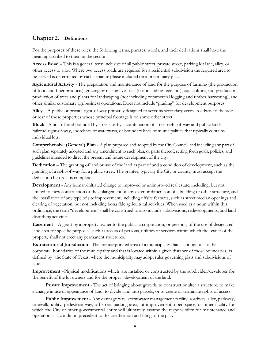# **Chapter 2. Definitions**

For the purposes of these rules, the following terms, phrases, words, and their derivations shall have the meaning ascribed to them in the section.

**Access Road** – This is a general term inclusive of all public street, private street, parking lot lane, alley, or other access to a lot. Where two access roads are required for a residential subdivision the required area to be served is determined by each separate phase included on a preliminary plat.

**Agricultural Activity** - The preparation and maintenance of land for the purpose of farming (the production of food and fiber products), grazing or raising livestock (not including feed lots), aquaculture, sod production, production of trees and plants for landscaping (not including commercial logging and timber harvesting), and other similar customary agribusiness operations. Does not include "grading" for development purposes.

**Alley** – A public or private right-of-way primarily designed to serve as secondary access roadway to the side or rear of those properties whose principal frontage is on some other street.

**Block** - A unit of land bounded by streets or by a combination of street right-of-way and public lands, railroad right-of-way, shorelines of waterways, or boundary lines of municipalities that typically contains individual lots.

**Comprehensive (General) Plan** - A plan prepared and adopted by the City Council, and including any part of such plan separately adopted and any amendment to such plan, or parts thereof, setting forth goals, policies, and guidelines intended to direct the present and future development of the city.

**Dedication** – The granting of land or use of the land as part of and a condition of development, such as the granting of a right-of-way for a public street. The grantee, typically the City or county, must accept the dedication before it is complete.

**Development** - Any human-initiated change to improved or unimproved real estate, including, but not limited to, new construction or the enlargement of any exterior dimension of a building or other structure, and the installation of any type of site improvement, including offsite features, such as street median openings and clearing of vegetation, but not including bona fide agricultural activities. When used as a noun within this ordinance, the term "development" shall be construed to also include subdivisions, redevelopments, and land disturbing activities.

**Easement** – A grant by a property owner to the public, a corporation, or persons, of the use of designated land area for specific purposes, such as access of persons, utilities or services within which the owner of the property shall not erect any permanent structures.

**Extraterritorial Jurisdiction** - The unincorporated area of a municipality that is contiguous to the corporate boundaries of the municipality and that is located within a given distance of those boundaries, as defined by the State of Texas, where the municipality may adopt rules governing plats and subdivisions of land.

**Improvement** –Physical modifications which are installed or constructed by the subdivider/developer for the benefit of the lot owners and for the proper development of the land.

**Private Improvement** - The act of bringing about growth, to construct or alter a structure, to make a change in use or appearance of land, to divide land into parcels, or to create or terminate rights of access.

**Public Improvement -** Any drainage way, stormwater management facility, roadway, alley, parkway, sidewalk, utility, pedestrian way, off-street parking area, lot improvement, open space, or other facility for which the City or other governmental entity will ultimately assume the responsibility for maintenance and operation as a condition precedent to the certification and filing of the plat.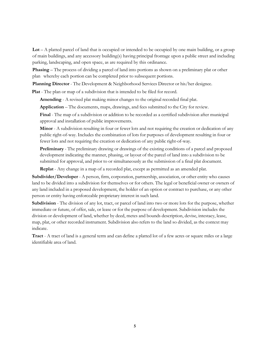**Lot** – A platted parcel of land that is occupied or intended to be occupied by one main building, or a group of main buildings, and any accessory building(s) having principal frontage upon a public street and including parking, landscaping, and open space, as are required by this ordinance.

**Phasing** – The process of dividing a parcel of land into portions as shown on a preliminary plat or other plan whereby each portion can be completed prior to subsequent portions.

**Planning Director** - The Development & Neighborhood Services Director or his/her designee.

**Plat** - The plan or map of a subdivision that is intended to be filed for record.

**Amending** - A revised plat making minor changes to the original recorded final plat.

**Application** – The documents, maps, drawings, and fees submitted to the City for review.

**Final** - The map of a subdivision or addition to be recorded as a certified subdivision after municipal approval and installation of public improvements.

**Minor** - A subdivision resulting in four or fewer lots and not requiring the creation or dedication of any public right-of-way. Includes the combination of lots for purposes of development resulting in four or fewer lots and not requiring the creation or dedication of any public right-of-way.

**Preliminary** - The preliminary drawing or drawings of the existing conditions of a parcel and proposed development indicating the manner, phasing, or layout of the parcel of land into a subdivision to be submitted for approval, and prior to or simultaneously as the submission of a final plat document.

**Replat** - Any change in a map of a recorded plat, except as permitted as an amended plat.

**Subdivider/Developer** - A person, firm, corporation, partnership, association, or other entity who causes land to be divided into a subdivision for themselves or for others. The legal or beneficial owner or owners of any land included in a proposed development, the holder of an option or contract to purchase, or any other person or entity having enforceable proprietary interest in such land.

**Subdivision** - The division of any lot, tract, or parcel of land into two or more lots for the purpose, whether immediate or future, of offer, sale, or lease or for the purpose of development. Subdivision includes the division or development of land, whether by deed, metes and bounds description, devise, intestacy, lease, map, plat, or other recorded instrument. Subdivision also refers to the land so divided, as the context may indicate.

**Tract** - A tract of land is a general term and can define a platted lot of a few acres or square miles or a large identifiable area of land.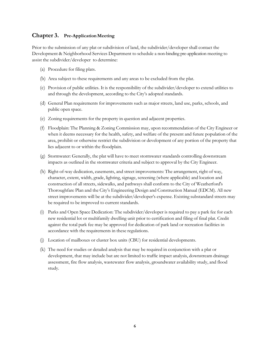# **Chapter 3.** Pre-Application Meeting

Prior to the submission of any plat or subdivision of land, the subdivider/developer shall contact the Development & Neighborhood Services Department to schedule a non-binding pre-application meeting to assist the subdivider/developer to determine:

- (a) Procedure for filing plats.
- (b) Area subject to these requirements and any areas to be excluded from the plat.
- (c) Provision of public utilities. It is the responsibility of the subdivider/developer to extend utilities to and through the development, according to the City's adopted standards.
- (d) General Plan requirements for improvements such as major streets, land use, parks, schools, and public open space.
- (e) Zoning requirements for the property in question and adjacent properties.
- (f) Floodplain: The Planning & Zoning Commission may, upon recommendation of the City Engineer or when it deems necessary for the health, safety, and welfare of the present and future population of the area, prohibit or otherwise restrict the subdivision or development of any portion of the property that lies adjacent to or within the floodplain.
- (g) Stormwater: Generally, the plat will have to meet stormwater standards controlling downstream impacts as outlined in the stormwater criteria and subject to approval by the City Engineer.
- (h) Right-of-way dedication, easements, and street improvements: The arrangement, right of way, character, extent, width, grade, lighting, signage, screening (where applicable) and location and construction of all streets, sidewalks, and pathways shall conform to the City of Weatherford's Thoroughfare Plan and the City's Engineering Design and Construction Manual (EDCM). All new street improvements will be at the subdivider/developer's expense. Existing substandard streets may be required to be improved to current standards.
- (i) Parks and Open Space Dedication: The subdivider/developer is required to pay a park fee for each new residential lot or multifamily dwelling unit prior to certification and filing of final plat. Credit against the total park fee may be approved for dedication of park land or recreation facilities in accordance with the requirements in these regulations.
- (j) Location of mailboxes or cluster box units (CBU) for residential developments.
- (k) The need for studies or detailed analysis that may be required in conjunction with a plat or development, that may include but are not limited to traffic impact analysis, downstream drainage assessment, fire flow analysis, wastewater flow analysis, groundwater availability study, and flood study.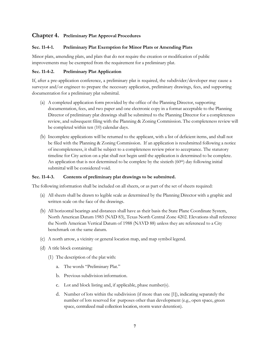# **Chapter 4. Preliminary Plat Approval Procedures**

## <span id="page-9-0"></span>**Sec. 11-4-1. Preliminary Plat Exemption for Minor Plats or Amending Plats**

Minor plats, amending plats, and plats that do not require the creation or modification of public improvements may be exempted from the requirement for a preliminary plat.

## <span id="page-9-1"></span>**Sec. 11-4-2. Preliminary Plat Application**

If, after a pre-application conference, a preliminary plat is required, the subdivider/developer may cause a surveyor and/or engineer to prepare the necessary application, preliminary drawings, fees, and supporting documentation for a preliminary plat submittal.

- (a) A completed application form provided by the office of the Planning Director, supporting documentation, fees, and two paper and one electronic copy in a format acceptable to the Planning Director of preliminary plat drawings shall be submitted to the Planning Director for a completeness review, and subsequent filing with the Planning & Zoning Commission. The completeness review will be completed within ten (10) calendar days.
- (b) Incomplete applications will be returned to the applicant, with a list of deficient items, and shall not be filed with the Planning & Zoning Commission. If an application is resubmitted following a notice of incompleteness, it shall be subject to a completeness review prior to acceptance. The statutory timeline for City action on a plat shall not begin until the application is determined to be complete. An application that is not determined to be complete by the sixtieth  $(60<sup>th</sup>)$  day following initial submittal will be considered void.

## <span id="page-9-2"></span>**Sec. 11-4-3. Contents of preliminary plat drawings to be submitted.**

The following information shall be included on all sheets, or as part of the set of sheets required:

- (a) All sheets shall be drawn to legible scale as determined by the Planning Director with a graphic and written scale on the face of the drawings.
- (b) All horizontal bearings and distances shall have as their basis the State Plane Coordinate System, North American Datum 1983 (NAD 83), Texas North Central Zone 4202. Elevations shall reference the North American Vertical Datum of 1988 (NAVD 88) unless they are referenced to a City benchmark on the same datum.
- (c) A north arrow, a vicinity or general location map, and map symbol legend.
- (d) A title block containing:
	- (1) The description of the plat with:
		- a. The words "Preliminary Plat."
		- b. Previous subdivision information.
		- c. Lot and block listing and, if applicable, phase number(s).
		- d. Number of lots within the subdivision (if more than one [1]), indicating separately the number of lots reserved for purposes other than development (e.g., open space, green space, centralized mail collection location, storm water detention).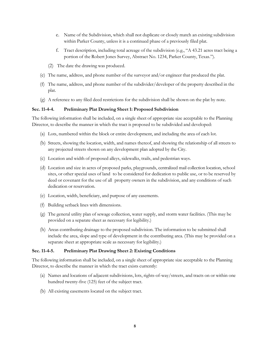- e. Name of the Subdivision, which shall not duplicate or closely match an existing subdivision within Parker County, unless it is a continued phase of a previously filed plat.
- f. Tract description, including total acreage of the subdivision (e.g., "A 43.21 acres tract being a portion of the Robert Jones Survey, Abstract No. 1234, Parker County, Texas.").
- (2) The date the drawing was produced.
- (e) The name, address, and phone number of the surveyor and/or engineer that produced the plat.
- (f) The name, address, and phone number of the subdivider/developer of the property described in the plat.
- (g) A reference to any filed deed restrictions for the subdivision shall be shown on the plat by note.

#### <span id="page-10-0"></span>**Sec. 11-4-4. Preliminary Plat Drawing Sheet 1: Proposed Subdivision**

The following information shall be included, on a single sheet of appropriate size acceptable to the Planning Director, to describe the manner in which the tract is proposed to be subdivided and developed:

- (a) Lots, numbered within the block or entire development, and including the area of each lot.
- (b) Streets, showing the location, width, and names thereof, and showing the relationship of all streets to any projected streets shown on any development plan adopted by the City.
- (c) Location and width of proposed alleys, sidewalks, trails, and pedestrian ways.
- (d) Location and size in acres of proposed parks, playgrounds, centralized mail collection location, school sites, or other special uses of land to be considered for dedication to public use, or to be reserved by deed or covenant for the use of all property owners in the subdivision, and any conditions of such dedication or reservation.
- (e) Location, width, beneficiary, and purpose of any easements.
- (f) Building setback lines with dimensions.
- (g) The general utility plan of sewage collection, water supply, and storm water facilities. (This may be provided on a separate sheet as necessary for legibility.)
- (h) Areas contributing drainage to the proposed subdivision. The information to be submitted shall include the area, slope and type of development in the contributing area. (This may be provided on a separate sheet at appropriate scale as necessary for legibility.)

#### <span id="page-10-1"></span>**Sec. 11-4-5. Preliminary Plat Drawing Sheet 2: Existing Conditions**

The following information shall be included, on a single sheet of appropriate size acceptable to the Planning Director, to describe the manner in which the tract exists currently:

- (a) Names and locations of adjacent subdivisions, lots, rights-of-way/streets, and tracts on or within one hundred twenty-five (125) feet of the subject tract.
- (b) All existing easements located on the subject tract.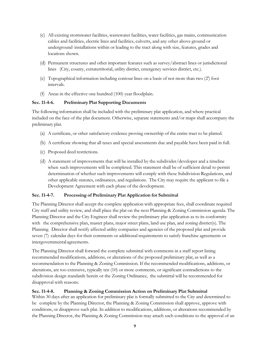- (c) All existing stormwater facilities, wastewater facilities, water facilities, gas mains, communication cables and facilities, electric lines and facilities, culverts, and any other above ground or underground installations within or leading to the tract along with size, features, grades and locations shown.
- (d) Permanent structures and other important features such as survey/abstract lines or jurisdictional lines (City, county, extraterritorial, utility district, emergency services district, etc.).
- (e) Topographical information including contour lines on a basis of not more than two (2') foot intervals.
- (f) Areas in the effective one hundred (100) year floodplain.

#### <span id="page-11-0"></span>**Sec. 11-4-6. Preliminary Plat Supporting Documents**

The following information shall be included with the preliminary plat application, and where practical included on the face of the plat document. Otherwise, separate statements and/or maps shall accompany the preliminary plat.

- (a) A certificate, or other satisfactory evidence proving ownership of the entire tract to be platted.
- (b) A certificate showing that all taxes and special assessments due and payable have been paid in full.
- (c) Proposed deed restrictions.
- (d) A statement of improvements that will be installed by the subdivider/developer and a timeline when such improvements will be completed. This statement shall be of sufficient detail to permit determination of whether such improvements will comply with these Subdivision Regulations, and other applicable statutes, ordinances, and regulations. The City may require the applicant to file a Development Agreement with each phase of the development.

#### <span id="page-11-1"></span>**Sec. 11-4-7. Processing of Preliminary Plat Application for Submittal**

The Planning Director shall accept the complete application with appropriate fees, shall coordinate required City staff and utility review, and shall place the plat on the next Planning & Zoning Commission agenda. The Planning Director and the City Engineer shall review the preliminary plat application as to its conformity with the comprehensive plan, master plans, major street plans, land use plan, and zoning district(s). The Planning Director shall notify affected utility companies and agencies of the proposed plat and provide seven (7) calendar days for their comments or additional requirements to satisfy franchise agreements or intergovernmental agreements.

The Planning Director shall forward the complete submittal with comments in a staff report listing recommended modifications, additions, or alterations of the proposed preliminary plat, as well as a recommendation to the Planning & Zoning Commission. If the recommended modifications, additions, or alterations, are too extensive, typically ten (10) or more comments, or significant contradictions to the subdivision design standards herein or the Zoning Ordinance, the submittal will be recommended for disapproval with reasons.

#### <span id="page-11-2"></span>**Sec. 11-4-8. Planning & Zoning Commission Action on Preliminary Plat Submittal**

Within 30 days after an application for preliminary plat is formally submitted to the City and determined to be complete by the Planning Director, the Planning & Zoning Commission shall approve, approve with conditions, or disapprove such plat. In addition to modifications, additions, or alterations recommended by the Planning Director, the Planning & Zoning Commission may attach such conditions to the approval of an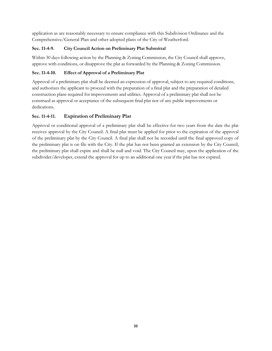application as are reasonably necessary to ensure compliance with this Subdivision Ordinance and the Comprehensive/General Plan and other adopted plans of the City of Weatherford.

# <span id="page-12-0"></span>**Sec. 11-4-9. City Council Action on Preliminary Plat Submittal**

Within 30 days following action by the Planning & Zoning Commission, the City Council shall approve, approve with conditions, or disapprove the plat as forwarded by the Planning & Zoning Commission.

# <span id="page-12-1"></span>**Sec.11-4-10. Effect of Approval of a Preliminary Plat**

Approval of a preliminary plat shall be deemed an expression of approval, subject to any required conditions, and authorizes the applicant to proceed with the preparation of a final plat and the preparation of detailed construction plans required for improvements and utilities. Approval of a preliminary plat shall not be construed as approval or acceptance of the subsequent final plat nor of any public improvements or dedications.

# **Sec.11-4-11. Expiration of Preliminary Plat**

Approval or conditional approval of a preliminary plat shall be effective for two years from the date the plat receives approval by the City Council. A final plat must be applied for prior to the expiration of the approval of the preliminary plat by the City Council. A final plat shall not be recorded until the final approved copy of the preliminary plat is on file with the City. If the plat has not been granted an extension by the City Council, the preliminary plat shall expire and shall be null and void. The City Council may, upon the application of the subdivider/developer, extend the approval for up to an additional one year if the plat has not expired.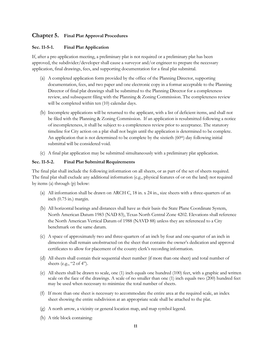# **Chapter 5. Final Plat Approval Procedures**

#### **Sec. 11-5-1. Final Plat Application**

If, after a pre-application meeting, a preliminary plat is not required or a preliminary plat has been approved, the subdivider/developer shall cause a surveyor and/or engineer to prepare the necessary application, final drawings, fees, and supporting documentation for a final plat submittal.

- (a) A completed application form provided by the office of the Planning Director, supporting documentation, fees, and two paper and one electronic copy in a format acceptable to the Planning Director of final plat drawings shall be submitted to the Planning Director for a completeness review, and subsequent filing with the Planning & Zoning Commission. The completeness review will be completed within ten  $(10)$  calendar days.
- (b) Incomplete applications will be returned to the applicant, with a list of deficient items, and shall not be filed with the Planning & Zoning Commission. If an application is resubmitted following a notice of incompleteness, it shall be subject to a completeness review prior to acceptance. The statutory timeline for City action on a plat shall not begin until the application is determined to be complete. An application that is not determined to be complete by the sixtieth  $(60<sup>th</sup>)$  day following initial submittal will be considered void.
- (c) A final plat application may be submitted simultaneously with a preliminary plat application.

# <span id="page-13-0"></span>**Sec. 11-5-2. Final Plat Submittal Requirements**

The final plat shall include the following information on all sheets, or as part of the set of sheets required. The final plat shall exclude any additional information (e.g., physical features of or on the land) not required by items (a) through (p) below:

- (a) All information shall be drawn on ARCH C, 18 in. x 24 in., size sheets with a three-quarters of an inch (0.75 in.) margin.
- (b) All horizontal bearings and distances shall have as their basis the State Plane Coordinate System, North American Datum 1983 (NAD 83), Texas North Central Zone 4202. Elevations shall reference the North American Vertical Datum of 1988 (NAVD 88) unless they are referenced to a City benchmark on the same datum.
- (c) A space of approximately two and three-quarters of an inch by four and one-quarter of an inch in dimension shall remain unobstructed on the sheet that contains the owner's dedication and approval certificates to allow for placement of the county clerk's recording information.
- (d) All sheets shall contain their sequential sheet number (if more than one sheet) and total number of sheets (e.g., "2 of 4").
- (e) All sheets shall be drawn to scale, one (1) inch equals one hundred (100) feet, with a graphic and written scale on the face of the drawings. A scale of no smaller than one (1) inch equals two (200) hundred feet may be used when necessary to minimize the total number of sheets.
- (f) If more than one sheet is necessary to accommodate the entire area at the required scale, an index sheet showing the entire subdivision at an appropriate scale shall be attached to the plat.
- (g) A north arrow, a vicinity or general location map, and map symbol legend.
- (h) A title block containing: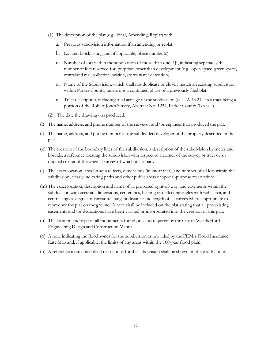- (1) The description of the plat (e.g., Final, Amending, Replat) with:
	- a. Previous subdivision information if an amending or replat.
	- b. Lot and block listing and, if applicable, phase number(s).
	- c. Number of lots within the subdivision (if more than one [1]), indicating separately the number of lots reserved for purposes other than development (e.g., open space, green space, centralized mail collection location, storm water detention).
	- d. Name of the Subdivision, which shall not duplicate or closely match an existing subdivision within Parker County, unless it is a continued phase of a previously filed plat.
	- e. Tract description, including total acreage of the subdivision (i.e., "A 43.21 acres tract being a portion of the Robert Jones Survey, Abstract No. 1234, Parker County, Texas.").
- (2) The date the drawing was produced.
- (i) The name, address, and phone number of the surveyor and/or engineer that produced the plat.
- (j) The name, address, and phone number of the subdivider/developer of the property described in the plat.
- (k) The location of the boundary lines of the subdivision, a description of the subdivision by metes and bounds, a reference locating the subdivision with respect to a corner of the survey or tract or an original corner of the original survey of which it is a part.
- (l) The exact location, area (in square feet), dimensions (in linear feet), and number of all lots within the subdivision, clearly indicating parks and other public areas or special-purpose reservations.
- (m) The exact location, description and name of all proposed right-of-way, and easements within the subdivision with accurate dimensions, centerlines, bearing or deflecting angles with radii, area, and central angles, degree of curvature, tangent distance and length of all curves where appropriate to reproduce the plat on the ground. A note shall be included on the plat stating that all pre-existing easements and/or dedications have been vacated or incorporated into the creation of this plat.
- (n) The location and type of all monuments found or set as required by the City of Weatherford Engineering Design and Construction Manual.
- (o) A note indicating the flood zones for the subdivision as provided by the FEMA Flood Insurance Rate Map and, if applicable, the limits of any areas within the 100-year flood plain.
- (p) A reference to any filed deed restrictions for the subdivision shall be shown on the plat by note.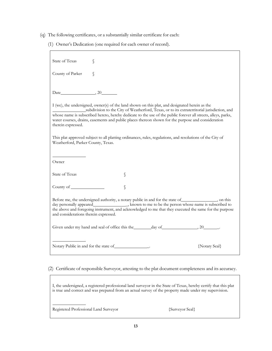- (q) The following certificates, or a substantially similar certificate for each:
	- (1) Owner's Dedication (one required for each owner of record).

| State of Texas                                                                                                                                                                                                                                                                                                                                                                                                                             | S |   |  |  |               |
|--------------------------------------------------------------------------------------------------------------------------------------------------------------------------------------------------------------------------------------------------------------------------------------------------------------------------------------------------------------------------------------------------------------------------------------------|---|---|--|--|---------------|
| County of Parker                                                                                                                                                                                                                                                                                                                                                                                                                           | S |   |  |  |               |
|                                                                                                                                                                                                                                                                                                                                                                                                                                            |   |   |  |  |               |
| I (we), the undersigned, owner(s) of the land shown on this plat, and designated herein as the<br>subdivision to the City of Weatherford, Texas, or to its extraterritorial jurisdiction, and<br>whose name is subscribed hereto, hereby dedicate to the use of the public forever all streets, alleys, parks,<br>water courses, drains, easements and public places thereon shown for the purpose and consideration<br>therein expressed. |   |   |  |  |               |
| This plat approved subject to all platting ordinances, rules, regulations, and resolutions of the City of<br>Weatherford, Parker County, Texas.                                                                                                                                                                                                                                                                                            |   |   |  |  |               |
| Owner                                                                                                                                                                                                                                                                                                                                                                                                                                      |   |   |  |  |               |
| <b>State of Texas</b>                                                                                                                                                                                                                                                                                                                                                                                                                      |   | S |  |  |               |
|                                                                                                                                                                                                                                                                                                                                                                                                                                            |   | S |  |  |               |
| Before me, the undersigned authority, a notary public in and for the state of _____________, on this<br>day personally appeared__________________, known to me to be the person whose name is subscribed to<br>the above and foregoing instrument, and acknowledged to me that they executed the same for the purpose<br>and considerations therein expressed.                                                                             |   |   |  |  |               |
|                                                                                                                                                                                                                                                                                                                                                                                                                                            |   |   |  |  |               |
| Notary Public in and for the state of                                                                                                                                                                                                                                                                                                                                                                                                      |   |   |  |  | {Notary Seal} |

(2) Certificate of responsible Surveyor, attesting to the plat document completeness and its accuracy.

I, the undersigned, a registered professional land surveyor in the State of Texas, hereby certify that this plat is true and correct and was prepared from an actual survey of the property made under my supervision.

Registered Professional Land Surveyor {Surveyor Seal}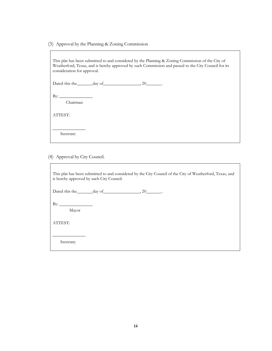(3) Approval by the Planning & Zoning Commission

This plat has been submitted to and considered by the Planning & Zoning Commission of the City of Weatherford, Texas, and is hereby approved by such Commission and passed to the City Council for its consideration for approval.

Dated this the day of  $\frac{1}{2}$ , 20  $\frac{1}{2}$ .

By:

Chairman

ATTEST:

Secretary

(4) Approval by City Council.

| is hereby approved by such City Council. |                                 | This plat has been submitted to and considered by the City Council of the City of Weatherford, Texas, and |
|------------------------------------------|---------------------------------|-----------------------------------------------------------------------------------------------------------|
|                                          | Dated this the day of 30 and 20 |                                                                                                           |
| $\mathbf{B} \mathbf{y}$ :<br>Mayor       |                                 |                                                                                                           |
| ATTEST:                                  |                                 |                                                                                                           |
| Secretary                                |                                 |                                                                                                           |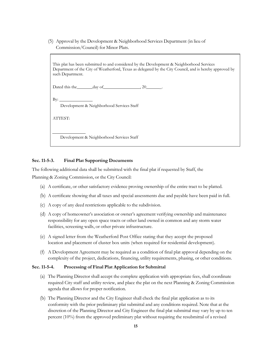(5) Approval by the Development & Neighborhood Services Department (in lieu of Commission/Council) for Minor Plats.

This plat has been submitted to and considered by the Development & Neighborhood Services Department of the City of Weatherford, Texas as delegated by the City Council, and is hereby approved by such Department.

Dated this the day of  $\frac{1}{2}$ , 20  $\frac{20}{1}$ .

By:

Development & Neighborhood Services Staff

ATTEST:

Development & Neighborhood Services Staff

#### <span id="page-17-0"></span>**Sec. 11-5-3. Final Plat Supporting Documents**

The following additional data shall be submitted with the final plat if requested by Staff, the

Planning & Zoning Commission, or the City Council:

- (a) A certificate, or other satisfactory evidence proving ownership of the entire tract to be platted.
- (b) A certificate showing that all taxes and special assessments due and payable have been paid in full.
- (c) A copy of any deed restrictions applicable to the subdivision.
- (d) A copy of homeowner's association or owner's agreement verifying ownership and maintenance responsibility for any open space tracts or other land owned in common and any storm water facilities, screening walls, or other private infrastructure.
- (e) A signed letter from the Weatherford Post Office stating that they accept the proposed location and placement of cluster box units (when required for residential development).
- (f) A Development Agreement may be required as a condition of final plat approval depending on the complexity of the project, dedications, financing, utility requirements, phasing, or other conditions.

#### <span id="page-17-1"></span>**Sec. 11-5-4. Processing of Final Plat Application for Submittal**

- (a) The Planning Director shall accept the complete application with appropriate fees, shall coordinate required City staff and utility review, and place the plat on the next Planning & Zoning Commission agenda that allows for proper notification.
- (b) The Planning Director and the City Engineer shall check the final plat application as to its conformity with the prior preliminary plat submittal and any conditions required. Note that at the discretion of the Planning Director and City Engineer the final plat submittal may vary by up to ten percent (10%) from the approved preliminary plat without requiring the resubmittal of a revised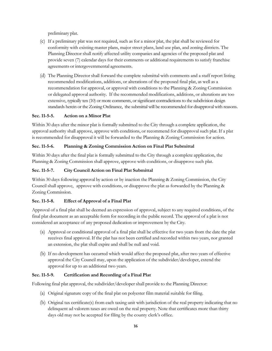preliminary plat.

- (c) If a preliminary plat was not required, such as for a minor plat, the plat shall be reviewed for conformity with existing master plans, major street plans, land use plan, and zoning districts. The Planning Director shall notify affected utility companies and agencies of the proposed plat and provide seven (7) calendar days for their comments or additional requirements to satisfy franchise agreements or intergovernmental agreements.
- (d) The Planning Director shall forward the complete submittal with comments and a staff report listing recommended modifications, additions, or alterations of the proposed final plat, as well as a recommendation for approval, or approval with conditions to the Planning & Zoning Commission or delegated approval authority. If the recommended modifications, additions, or alterations are too extensive, typically ten (10) or more comments, or significant contradictions to the subdivision design standards herein or the Zoning Ordinance, the submittal will be recommended for disapproval with reasons.

# <span id="page-18-0"></span>**Sec. 11-5-5. Action on a Minor Plat**

Within 30 days after the minor plat is formally submitted to the City through a complete application, the approval authority shall approve, approve with conditions, or recommend for disapproval such plat. If a plat is recommended for disapproval it will be forwarded to the Planning & Zoning Commission for action.

# <span id="page-18-1"></span>**Sec. 11-5-6. Planning & Zoning Commission Action on Final Plat Submittal**

Within 30 days after the final plat is formally submitted to the City through a complete application, the Planning & Zoning Commission shall approve, approve with conditions, or disapprove such plat.

# <span id="page-18-2"></span>**Sec. 11-5-7. City Council Action on Final Plat Submittal**

Within 30 days following approval by action or by inaction the Planning & Zoning Commission, the City Council shall approve, approve with conditions, or disapprove the plat as forwarded by the Planning & Zoning Commission.

# <span id="page-18-3"></span>**Sec. 11-5-8. Effect of Approval of a Final Plat**

Approval of a final plat shall be deemed an expression of approval, subject to any required conditions, of the final plat document as an acceptable form for recording in the public record. The approval of a plat is not considered an acceptance of any proposed dedication or improvement by the City.

- (a) Approval or conditional approval of a final plat shall be effective for two years from the date the plat receives final approval. If the plat has not been certified and recorded within two years, nor granted an extension, the plat shall expire and shall be null and void.
- (b) If no development has occurred which would affect the proposed plat, after two years of effective approval the City Council may, upon the application of the subdivider/developer, extend the approval for up to an additional two years.

#### <span id="page-18-4"></span>**Sec. 11-5-9. Certification and Recording of a Final Plat**

Following final plat approval, the subdivider/developer shall provide to the Planning Director:

- (a) Original signature copy of the final plat on polyester film material suitable for filing.
- (b) Original tax certificate(s) from each taxing unit with jurisdiction of the real property indicating that no delinquent ad valorem taxes are owed on the real property. Note that certificates more than thirty days old may not be accepted for filing by the county clerk's office.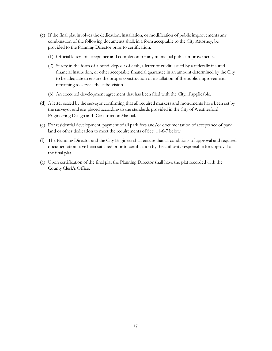- (c) If the final plat involves the dedication, installation, or modification of public improvements any combination of the following documents shall, in a form acceptable to the City Attorney, be provided to the Planning Director prior to certification.
	- (1) Official letters of acceptance and completion for any municipal public improvements.
	- (2) Surety in the form of a bond, deposit of cash, a letter of credit issued by a federally insured financial institution, or other acceptable financial guarantee in an amount determined by the City to be adequate to ensure the proper construction or installation of the public improvements remaining to service the subdivision.
	- (3) An executed development agreement that has been filed with the City, if applicable.
- (d) A letter sealed by the surveyor confirming that all required markers and monuments have been set by the surveyor and are placed according to the standards provided in the City of Weatherford Engineering Design and Construction Manual.
- (e) For residential development, payment of all park fees and/or documentation of acceptance of park land or other dedication to meet the requirements of Sec. 11-6-7 below.
- (f) The Planning Director and the City Engineer shall ensure that all conditions of approval and required documentation have been satisfied prior to certification by the authority responsible for approval of the final plat.
- (g) Upon certification of the final plat the Planning Director shall have the plat recorded with the County Clerk's Office.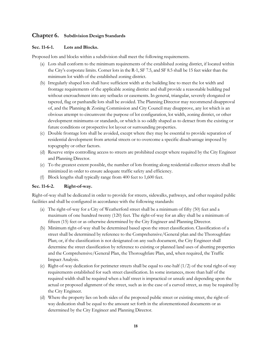# **Chapter 6. Subdivision Design Standards**

#### **Sec. 11-6-1. Lots and Blocks.**

Proposed lots and blocks within a subdivision shall meet the following requirements.

- (a) Lots shall conform to the minimum requirements of the established zoning district, if located within the City's corporate limits. Corner lots in the R-1, SF 7.5, and SF 8.5 shall be 15 feet wider than the minimum lot width of the established zoning district.
- (b) Irregularly shaped lots shall have sufficient width at the building line to meet the lot width and frontage requirements of the applicable zoning district and shall provide a reasonable building pad without encroachment into any setbacks or easements. In general, triangular, severely elongated or tapered, flag or panhandle lots shall be avoided. The Planning Director may recommend disapproval of, and the Planning & Zoning Commission and City Council may disapprove, any lot which is an obvious attempt to circumvent the purpose of lot configuration, lot width, zoning district, or other development minimums or standards, or which is so oddly shaped as to detract from the existing or future conditions or prospective lot layout or surrounding properties.
- (c) Double frontage lots shall be avoided, except where they may be essential to provide separation of residential development from arterial streets or to overcome a specific disadvantage imposed by topography or other factors.
- (d) Reserve strips controlling access to streets are prohibited except where required by the City Engineer and Planning Director.
- (e) To the greatest extent possible, the number of lots fronting along residential collector streets shall be minimized in order to ensure adequate traffic safety and efficiency.
- (f) Block lengths shall typically range from 400 feet to 1,600 feet.

#### <span id="page-20-0"></span>**Sec. 11-6-2. Right-of-way.**

Right-of-way shall be dedicated in order to provide for streets, sidewalks, pathways, and other required public facilities and shall be configured in accordance with the following standards:

- (a) The right-of-way for a City of Weatherford street shall be a minimum of fifty (50) feet and a maximum of one hundred twenty (120) feet. The right-of-way for an alley shall be a minimum of fifteen (15) feet or as otherwise determined by the City Engineer and Planning Director.
- (b) Minimum right-of-way shall be determined based upon the street classification. Classification of a street shall be determined by reference to the Comprehensive/General plan and the Thoroughfare Plan; or, if the classification is not designated on any such document, the City Engineer shall determine the street classification by reference to existing or planned land uses of abutting properties and the Comprehensive/General Plan, the Thoroughfare Plan, and, when required, the Traffic Impact Analysis.
- (c) Right-of-way dedication for perimeter streets shall be equal to one-half  $(1/2)$  of the total right-of-way requirements established for such street classification. In some instances, more than half of the required width shall be required when a half street is impractical or unsafe and depending upon the actual or proposed alignment of the street, such as in the case of a curved street, as may be required by the City Engineer.
- (d) Where the property lies on both sides of the proposed public street or existing street, the right-ofway dedication shall be equal to the amount set forth in the aforementioned documents or as determined by the City Engineer and Planning Director.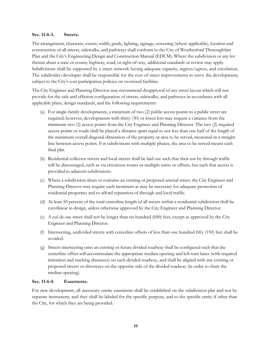#### <span id="page-21-0"></span>**Sec. 11-6-3. Streets.**

The arrangement, character, extent, width, grade, lighting, signage, screening (where applicable), location and construction of all streets, sidewalks, and pathways shall conform to the City of Weatherford Thoroughfare Plan and the City's Engineering Design and Construction Manual (EDCM). Where the subdivision or any lot therein abuts a state or county highway, road, or right-of-way, additional standards or review may apply. Subdivisions shall be supported by a street network having adequate capacity, ingress/egress, and circulation. The subdivider/developer shall be responsible for the cost of street improvements to serve the development, subject to the City's cost participation policies on oversized facilities.

The City Engineer and Planning Director may recommend disapproval of any street layout which will not provide for the safe and efficient configuration of streets, sidewalks, and pathways in accordance with all applicable plans, design standards, and the following requirements:

- (a) For single-family developments, a minimum of two (2) public access points to a public street are required; however, developments with thirty (30) or fewer lots may request a variance from the minimum two (2) access points from the City Engineer and Planning Director. The two (2) required access points or roads shall be placed a distance apart equal to not less than one half of the length of the maximum overall diagonal dimension of the property or area to be served, measured in a straight line between access points. For subdivisions with multiple phases, the area to be served means each final plat.
- (b) Residential collector streets and local streets shall be laid out such that their use by through traffic will be discouraged, such as via circuitous routes or multiple turns or offsets, but such that access is provided to adjacent subdivisions.
- (c) Where a subdivision abuts or contains an existing or proposed arterial street, the City Engineer and Planning Director may require such treatment as may be necessary for adequate protection of residential properties and to afford separation of through and local traffic.
- (d) At least 50 percent of the total centerline length of all streets within a residential subdivision shall be curvilinear in design, unless otherwise approved by the City Engineer and Planning Director.
- (e) A cul-de-sac street shall not be longer than six hundred (600) feet, except as approved by the City Engineer and Planning Director.
- (f) Intersecting, undivided streets with centerline offsets of less than one hundred fifty (150) feet shall be avoided.
- (g) Streets intersecting onto an existing or future divided roadway shall be configured such that the centerline offset will accommodate the appropriate median opening and left-turn lanes (with required transition and stacking distances) on each divided roadway, and shall be aligned with any existing or proposed streets or driveways on the opposite side of the divided roadway (in order to share the median opening).

#### <span id="page-21-1"></span>**Sec. 11-6-4. Easements.**

For new development, all necessary onsite easements shall be established on the subdivision plat and not by separate instrument, and they shall be labeled for the specific purpose, and to the specific entity if other than the City, for which they are being provided.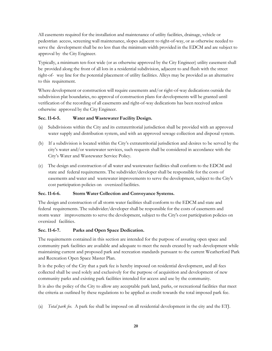All easements required for the installation and maintenance of utility facilities, drainage, vehicle or pedestrian access, screening wall maintenance, slopes adjacent to right-of-way, or as otherwise needed to serve the development shall be no less than the minimum width provided in the EDCM and are subject to approval by the City Engineer.

Typically, a minimum ten-foot wide (or as otherwise approved by the City Engineer) utility easement shall be provided along the front of all lots in a residential subdivision, adjacent to and flush with the street right-of- way line for the potential placement of utility facilities. Alleys may be provided as an alternative to this requirement.

Where development or construction will require easements and/or right-of-way dedications outside the subdivision plat boundaries, no approval of construction plans for developments will be granted until verification of the recording of all easements and right-of-way dedications has been received unless otherwise approved by the City Engineer.

# <span id="page-22-0"></span>**Sec. 11-6-5. Water and Wastewater Facility Design.**

- (a) Subdivisions within the City and its extraterritorial jurisdiction shall be provided with an approved water supply and distribution system, and with an approved sewage collection and disposal system.
- (b) If a subdivision is located within the City's extraterritorial jurisdiction and desires to be served by the city's water and/or wastewater services, such requests shall be considered in accordance with the City's Water and Wastewater Service Policy.
- (c) The design and construction of all water and wastewater facilities shall conform to the EDCM and state and federal requirements. The subdivider/developer shall be responsible for the costs of easements and water and wastewater improvements to serve the development, subject to the City's cost participation policies on oversized facilities.

# <span id="page-22-1"></span>**Sec. 11-6-6. Storm Water Collection and Conveyance Systems.**

The design and construction of all storm water facilities shall conform to the EDCM and state and federal requirements. The subdivider/developer shall be responsible for the costs of easements and storm water improvements to serve the development, subject to the City's cost participation policies on oversized facilities.

# <span id="page-22-2"></span>**Sec. 11-6-7. Parks and Open Space Dedication.**

The requirements contained in this section are intended for the purpose of assuring open space and community park facilities are available and adequate to meet the needs created by such development while maintaining current and proposed park and recreation standards pursuant to the current Weatherford Park and Recreation Open Space Master Plan.

It is the policy of the City that a park fee is hereby imposed on residential development, and all fees collected shall be used solely and exclusively for the purpose of acquisition and development of new community parks and existing park facilities intended for access and use by the community.

It is also the policy of the City to allow any acceptable park land, parks, or recreational facilities that meet the criteria as outlined by these regulations to be applied as credit towards the total imposed park fee.

(a) *Total park fee.* A park fee shall be imposed on all residential development in the city and the ETJ.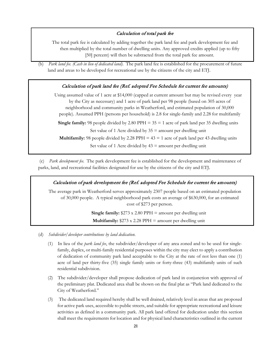# Calculation of total park fee

The total park fee is calculated by adding together the park land fee and park development fee and then multiplied by the total number of dwelling units. Any approved credits applied (up to fifty [50] percent) will then be subtracted from the total park fee amount.

(b) *Park land fee. (Cash in lieu of dedicated land)*. The park land fee is established for the procurement of future land and areas to be developed for recreational use by the citizens of the city and ETJ.

# Calculation of park land fee (Ref. adopted Fee Schedule for current fee amounts)

Using assumed value of 1 acre at \$14,000 (capped at current amount but may be revised every year by the City as necessary) and 1 acre of park land per 98 people (based on 305 acres of neighborhood and community parks in Weatherford, and estimated population of 30,000 people). Assumed PPH (persons per household) is 2.8 for single-family and 2.28 for multifamily **Single family:** 98 people divided by 2.80 PPH  $=$  35  $=$  1 acre of park land per 35 dwelling units Set value of 1 Acre divided by  $35 =$  amount per dwelling unit **Multifamily:** 98 people divided by 2.28 PPH  $= 43 = 1$  acre of park land per 43 dwelling units Set value of 1 Acre divided by  $43 =$  amount per dwelling unit

(c) *Park development fee.* The park development fee is established for the development and maintenance of parks, land, and recreational facilities designated for use by the citizens of the city and ETJ.

#### Calculation of park development fee (Ref. adopted Fee Schedule for current fee amounts)

The average park in Weatherford serves approximately 2307 people based on an estimated population of 30,000 people. A typical neighborhood park costs an average of \$630,000, for an estimated cost of \$273 per person.

> **Single family:**  $$273 \times 2.80$  PPH = amount per dwelling unit **Multifamily:**  $$273 \times 2.28$  PPH = amount per dwelling unit

- (d) *Subdivider/developer contributions by land dedication.*
	- (1) In lieu of the *park land fee*, the subdivider/developer of any area zoned and to be used for singlefamily, duplex, or multi-family residential purposes within the city may elect to apply a contribution of dedication of community park land acceptable to the City at the rate of not less than one (1) acre of land per thirty-five (35) single family units or forty-three (43) multifamily units of such residential subdivision.
	- (2) The subdivider/developer shall propose dedication of park land in conjunction with approval of the preliminary plat. Dedicated area shall be shown on the final plat as "Park land dedicated to the City of Weatherford."
	- (3) The dedicated land required hereby shall be well drained, relatively level in areas that are proposed for active park uses, accessible to public streets, and suitable for appropriate recreational and leisure activities as defined in a community park. All park land offered for dedication under this section shall meet the requirements for location and for physical land characteristics outlined in the current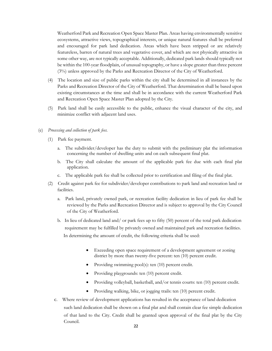Weatherford Park and Recreation Open Space Master Plan. Areas having environmentally sensitive ecosystems, attractive views, topographical interests, or unique natural features shall be preferred and encouraged for park land dedication. Areas which have been stripped or are relatively featureless, barren of natural trees and vegetative cover, and which are not physically attractive in some other way, are not typically acceptable. Additionally, dedicated park lands should typically not be within the 100-year floodplain, of unusual topography, or have a slope greater than three percent (3%) unless approved by the Parks and Recreation Director of the City of Weatherford.

- (4) The location and size of public parks within the city shall be determined in all instances by the Parks and Recreation Director of the City of Weatherford. That determination shall be based upon existing circumstances at the time and shall be in accordance with the current Weatherford Park and Recreation Open Space Master Plan adopted by the City.
- (5) Park land shall be easily accessible to the public, enhance the visual character of the city, and minimize conflict with adjacent land uses.

#### (e) *Processing and collection of park fees.*

- (1) Park fee payment.
	- a. The subdivider/developer has the duty to submit with the preliminary plat the information concerning the number of dwelling units and on each subsequent final plat.
	- b. The City shall calculate the amount of the applicable park fee due with each final plat application.
	- c. The applicable park fee shall be collected prior to certification and filing of the final plat.
- (2) Credit against park fee for subdivider/developer contributions to park land and recreation land or facilities.
	- a. Park land, privately owned park, or recreation facility dedication in lieu of park fee shall be reviewed by the Parks and Recreation Director and is subject to approval by the City Council of the City of Weatherford.
	- b. In lieu of dedicated land and/ or park fees up to fifty (50) percent of the total park dedication requirement may be fulfilled by privately owned and maintained park and recreation facilities. In determining the amount of credit, the following criteria shall be used:
		- Exceeding open space requirement of a development agreement or zoning district by more than twenty-five percent: ten (10) percent credit.
		- Providing swimming pool(s): ten (10) percent credit.
		- Providing playgrounds: ten (10) percent credit.
		- Providing volleyball, basketball, and/or tennis courts: ten (10) percent credit.
		- Providing walking, bike, or jogging trails: ten (10) percent credit.
	- c. Where review of development applications has resulted in the acceptance of land dedication such land dedication shall be shown on a final plat and shall contain clear fee simple dedication of that land to the City. Credit shall be granted upon approval of the final plat by the City Council.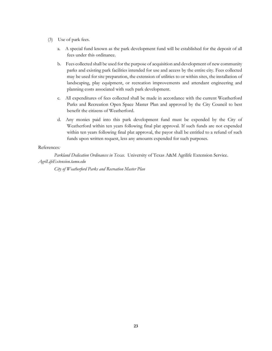- (3) Use of park fees.
	- a. A special fund known as the park development fund will be established for the deposit of all fees under this ordinance.
	- b. Fees collected shall be used for the purpose of acquisition and development of new community parks and existing park facilities intended for use and access by the entire city. Fees collected may be used for site preparation, the extension of utilities to or within sites, the installation of landscaping, play equipment, or recreation improvements and attendant engineering and planning costs associated with such park development.
	- c. All expenditures of fees collected shall be made in accordance with the current Weatherford Parks and Recreation Open Space Master Plan and approved by the City Council to best benefit the citizens of Weatherford.
	- d. Any monies paid into this park development fund must be expended by the City of Weatherford within ten years following final plat approval. If such funds are not expended within ten years following final plat approval, the payor shall be entitled to a refund of such funds upon written request, less any amounts expended for such purposes.

#### References*:*

*Parkland Dedication Ordinances in Texas.* University of Texas A&M Agrilife Extension Service. *AgriLifeExtension.tamu.edu*

*City of Weatherford Parks and Recreation Master Plan*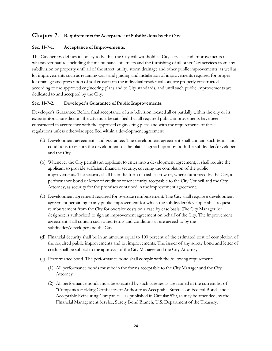# **Chapter 7. Requirements for Acceptance of Subdivisions by the City**

## **Sec. 11-7-1. Acceptance ofImprovements.**

The City hereby defines its policy to be that the City will withhold all City services and improvements of whatsoever nature, including the maintenance of streets and the furnishing of all other City services from any subdivision or property until all of the street, utility, storm drainage and other public improvements, as well as lot improvements such as retaining walls and grading and installation of improvements required for proper lot drainage and prevention of soil erosion on the individual residential lots, are properly constructed according to the approved engineering plans and to City standards, and until such public improvements are dedicated to and accepted by the City.

# **Sec. 11-7-2. Developer's Guarantee of Public Improvements.**

Developer's Guarantee: Before final acceptance of a subdivision located all or partially within the city or its extraterritorial jurisdiction, the city must be satisfied that all required public improvements have been constructed in accordance with the approved engineering plans and with the requirements of these regulations unless otherwise specified within a development agreement.

- (a) Development agreements and guarantee: The development agreement shall contain such terms and conditions to ensure the development of the plat as agreed upon by both the subdivider/developer and the City.
- (b) Whenever the City permits an applicant to enter into a development agreement, it shall require the applicant to provide sufficient financial security, covering the completion of the public improvements. The security shall be in the form of cash escrow or, where authorized by the City, a performance bond or letter of credit or other security acceptable to the City Council and the City Attorney, as security for the promises contained in the improvement agreement.
- (c) Development agreement required for oversize reimbursement. The City shall require a development agreement pertaining to any public improvement for which the subdivider/developer shall request reimbursement from the City for oversize costs on a case by case basis. The City Manager (or designee) is authorized to sign an improvement agreement on behalf of the City. The improvement agreement shall contain such other terms and conditions as are agreed to by the subdivider/developer and the City.
- (d) Financial Security shall be in an amount equal to 100 percent of the estimated cost of completion of the required public improvements and lot improvements. The issuer of any surety bond and letter of credit shall be subject to the approval of the City Manager and the City Attorney.
- (e) Performance bond. The performance bond shall comply with the following requirements:
	- (1) All performance bonds must be in the forms acceptable to the City Manager and the City Attorney.
	- (2) All performance bonds must be executed by such sureties as are named in the current list of "Companies Holding Certificates of Authority as Acceptable Sureties on Federal Bonds and as Acceptable Reinsuring Companies", as published in Circular 570, as may be amended, by the Financial Management Service, Surety Bond Branch, U.S. Department of the Treasury.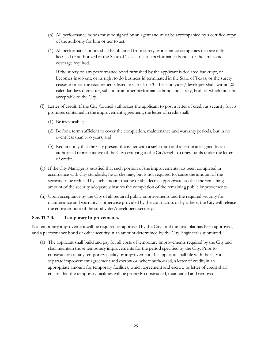- (3) All performance bonds must be signed by an agent and must be accompanied by a certified copy of the authority for him or her to act.
- (4) All performance bonds shall be obtained from surety or insurance companies that are duly licensed or authorized in the State of Texas to issue performance bonds for the limits and coverage required.

If the surety on any performance bond furnished by the applicant is declared bankrupt, or becomes insolvent, or its right to do business in terminated in the State of Texas, or the surety ceases to meet the requirements listed in Circular 570, the subdivider/developer shall, within 20 calendar days thereafter, substitute another performance bond and surety, both of which must be acceptable to the City.

- (f) Letter of credit. If the City Council authorizes the applicant to post a letter of credit as security for its promises contained in the improvement agreement, the letter of credit shall:
	- (1) Be irrevocable;
	- (2) Be for a term sufficient to cover the completion, maintenance and warranty periods, but in no event less than two years; and
	- (3) Require only that the City present the issuer with a sight draft and a certificate signed by an authorized representative of the City certifying to the City's right to draw funds under the letter of credit.
- (g) If the City Manager is satisfied that such portion of the improvements has been completed in accordance with City standards, he or she may, but is not required to, cause the amount of the security to be reduced by such amount that he or she deems appropriate, so that the remaining amount of the security adequately insures the completion of the remaining public improvements.
- (h) Upon acceptance by the City of all required public improvements and the required security for maintenance and warranty is otherwise provided by the contractors or by others, the City will release the entire amount of the subdivider/developer's security.

#### <span id="page-27-0"></span>**Sec. 11-7-3. Temporary Improvements.**

No temporary improvement will be required or approved by the City until the final plat has been approved, and a performance bond or other security in an amount determined by the City Engineer is submitted.

(a) The applicant shall build and pay for all costs of temporary improvements required by the City and shall maintain those temporary improvements for the period specified by the City. Prior to construction of any temporary facility or improvement, the applicant shall file with the City a separate improvement agreement and escrow or, where authorized, a letter of credit, in an appropriate amount for temporary facilities, which agreement and escrow or letter of credit shall ensure that the temporary facilities will be properly constructed, maintained and removed.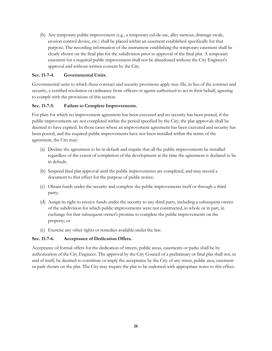(b) Any temporary public improvement (e.g., a temporary cul-de-sac, alley turnout, drainage swale, erosion control device, etc.) shall be placed within an easement established specifically for that purpose. The recording information of the instrument establishing the temporary easement shall be clearly shown on the final plat for the subdivision prior to approval of the final plat. A temporary easement for a required public improvement shall not be abandoned without the City Engineer's approval and without written consent by the City.

## <span id="page-28-0"></span>**Sec. 11-7-4. Governmental Units.**

Governmental units to which these contract and security provisions apply may file, in lieu of the contract and security, a certified resolution or ordinance from officers or agents authorized to act in their behalf, agreeing to comply with the provisions of this section.

# <span id="page-28-1"></span>**Sec. 11-7-5. Failure to Complete Improvements.**

For plats for which no improvement agreement has been executed and no security has been posted, if the public improvements are not completed within the period specified by the City, the plat approvals shall be deemed to have expired. In those cases where an improvement agreement has been executed and security has been posted, and the required public improvements have not been installed within the terms of the agreement, the City may:

- (a) Declare the agreement to be in default and require that all the public improvements be installed regardless of the extent of completion of the development at the time the agreement is declared to be in default;
- (b) Suspend final plat approval until the public improvements are completed, and may record a document to that effect for the purpose of public notice;
- (c) Obtain funds under the security and complete the public improvements itself or through a third party;
- (d) Assign its right to receive funds under the security to any third party, including a subsequent owner of the subdivision for which public improvements were not constructed, in whole or in part, in exchange for that subsequent owner's promise to complete the public improvements on the property; or
- (e) Exercise any other rights or remedies available under the law.

# <span id="page-28-2"></span>**Sec. 11-7-6. Acceptance of Dedication Offers.**

Acceptance of formal offers for the dedication of streets, public areas, easements or parks shall be by authorization of the City Engineer. The approval by the City Council of a preliminary or final plat shall not, in and of itself, be deemed to constitute or imply the acceptance by the City of any street, public area, easement or park shown on the plat. The City may require the plat to be endorsed with appropriate notes to this effect.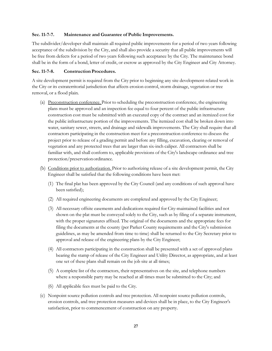#### <span id="page-29-0"></span>**Sec. 11-7-7. Maintenance and Guarantee of Public Improvements.**

The subdivider/developer shall maintain all required public improvements for a period of two years following acceptance of the subdivision by the City, and shall also provide a security that all public improvements will be free from defects for a period of two years following such acceptance by the City. The maintenance bond shall be in the form of a bond, letter of credit, or escrow as approved by the City Engineer and City Attorney.

# <span id="page-29-1"></span>**Sec. 11-7-8. Construction Procedures.**

A site development permit is required from the City prior to beginning any site development-related work in the City or its extraterritorial jurisdiction that affects erosion control, storm drainage, vegetation or tree removal, or a flood plain.

- (a) Preconstruction conference. Prior to scheduling the preconstruction conference, the engineering plans must be approved and an inspection fee equal to four percent of the public infrastructure construction cost must be submitted with an executed copy of the contract and an itemized cost for the public infrastructure portion of the improvements. The itemized cost shall be broken down into water, sanitary sewer, streets, and drainage and sidewalk improvements. The City shall require that all contractors participating in the construction meet for a preconstruction conference to discuss the project prior to release of a grading permit and before any filling, excavation, clearing or removal of vegetation and any protected trees that are larger than six-inch caliper. All contractors shall be familiar with, and shall conform to, applicable provisions of the City's landscape ordinance and tree protection/preservationordinance.
- (b) Conditions prior to authorization. Prior to authorizing release of a site development permit, the City Engineer shall be satisfied that the following conditions have been met:
	- (1) The final plat has been approved by the City Council (and any conditions of such approval have been satisfied);
	- (2) All required engineering documents are completed and approved by the City Engineer;
	- (3) All necessary offsite easements and dedications required for City-maintained facilities and not shown on the plat must be conveyed solely to the City, such as by filing of a separate instrument, with the proper signatures affixed. The original of the documents and the appropriate fees for filing the documents at the county (per Parker County requirements and the City's submission guidelines, as may be amended from time to time) shall be returned to the City Secretary prior to approval and release of the engineering plans by the City Engineer;
	- (4) All contractors participating in the construction shall be presented with a set of approved plans bearing the stamp of release of the City Engineer and Utility Director, as appropriate, and at least one set of these plans shall remain on the job site at all times;
	- (5) A complete list of the contractors, their representatives on the site, and telephone numbers where a responsible party may be reached at all times must be submitted to the City; and
	- (6) All applicable fees must be paid to the City.
- (c) Nonpoint source pollution controls and tree protection. All nonpoint source pollution controls, erosion controls, and tree protection measures and devices shall be in place, to the City Engineer's satisfaction, prior to commencement of construction on any property.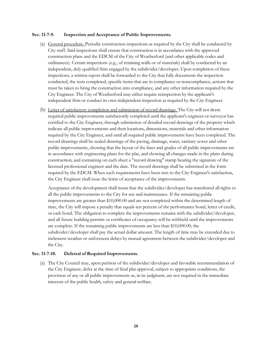#### <span id="page-30-0"></span>**Sec. 11-7-9. Inspection and Acceptance of Public Improvements.**

- (a) General procedure. Periodic construction inspections as required by the City shall be conducted by City staff. Said inspections shall ensure that construction is in accordance with the approved construction plans and the EDCM of the City of Weatherford (and other applicable codes and ordinances). Certain inspections (e.g., of retaining walls or of materials) shall by conducted by an independent, duly qualified firm engaged by the subdivider/developer. Upon completion of these inspections, a written report shall be forwarded to the City that fully documents the inspection conducted, the tests completed, specific items that are in compliance or noncompliance, actions that must be taken to bring the construction into compliance, and any other information required by the City Engineer. The City of Weatherford may either require reinspection by the applicant's independent firm or conduct its own independent inspection as required by the City Engineer.
- (b) Letter of satisfactory completion and submission of record drawings. The City will not deem required public improvements satisfactorily completed until the applicant's engineer or surveyor has certified to the City Engineer, through submission of detailed record drawings of the property which indicate all public improvements and their locations, dimensions, materials and other information required by the City Engineer, and until all required public improvements have been completed. The record drawings shall be sealed drawings of the paving, drainage, water, sanitary sewer and other public improvements, showing that the layout of the lines and grades of all public improvements are in accordance with engineering plans for the plat, and showing all changes made in the plans during construction, and containing on each sheet a "record drawing" stamp bearing the signature of the licensed professional engineer and the date. The record drawings shall be submitted in the form required by the EDCM. When such requirements have been met to the City Engineer's satisfaction, the City Engineer shall issue the letter of acceptance of the improvements.

Acceptance of the development shall mean that the subdivider/developer has transferred all rights to all the public improvements to the City for use and maintenance. If the remaining public improvements are greater than \$10,000.00 and are not completed within the determined length of time, the City will impose a penalty that equals ten percent of the performance bond, letter of credit, or cash bond. The obligation to complete the improvements remains with the subdivider/developer, and all future building permits or certificates of occupancy will be withheld until the improvements are complete. If the remaining public improvements are less than \$10,000.00, the subdivider/developer shall pay the actual dollar amount. The length of time may be extended due to inclement weather or unforeseen delays by mutual agreement between the subdivider/developer and the City.

#### <span id="page-30-1"></span>**Sec.11-7-10. Deferral of Required Improvements.**

(a) The City Council may, upon petition of the subdivider/developer and favorable recommendation of the City Engineer, defer at the time of final plat approval, subject to appropriate conditions, the provision of any or all public improvements as, in its judgment, are not required in the immediate interests of the public health, safety and general welfare.